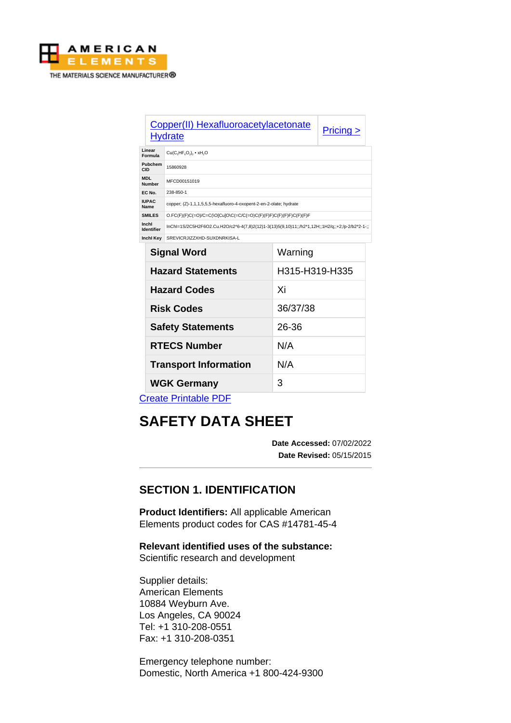

|                             | Copper(II) Hexafluoroacetylacetonate<br><b>Hydrate</b>                                          |          | $Pricing \ge$ |
|-----------------------------|-------------------------------------------------------------------------------------------------|----------|---------------|
| Linear<br>Formula           | $Cu(CsHFsO2)s$ • xH <sub>2</sub> O                                                              |          |               |
| Pubchem<br>CID              | 15860928                                                                                        |          |               |
| <b>MDL</b><br><b>Number</b> | MFCD00151019                                                                                    |          |               |
| EC No.                      | 238-850-1                                                                                       |          |               |
| <b>IUPAC</b><br>Name        | copper; (Z)-1,1,1,5,5,5-hexafluoro-4-oxopent-2-en-2-olate; hydrate                              |          |               |
| <b>SMILES</b>               | O.FC(F)(F)C(=O)/C=C(\O[Cu]O\C(=C/C(=O)C(F)(F)F)C(F)(F)F)C(F)(F)F                                |          |               |
| Inchl<br><b>Identifier</b>  | :inChI=1S/2C5H2F6O2.Cu.H2O/c2*6-4(7,8)2(12)1-3(13)5(9,10)11;;/h2*1,12H;;1H2/q;;+2;/p-2/b2*2-1-; |          |               |
| Inchl Key                   | SREVICRJIZZXHD-SUXDNRKISA-L                                                                     |          |               |
| --                          | .                                                                                               | $\cdots$ |               |

| Warning        |  |
|----------------|--|
| H315-H319-H335 |  |
| Xi             |  |
| 36/37/38       |  |
| 26-36          |  |
| N/A            |  |
| N/A            |  |
| 3              |  |
|                |  |

[Create Printable PDF](https://www.americanelements.com/printpdf/cas/14781-45-4/sds)

# **SAFETY DATA SHEET**

**Date Accessed:** 07/02/2022 **Date Revised:** 05/15/2015

# **SECTION 1. IDENTIFICATION**

**Product Identifiers:** All applicable American Elements product codes for CAS #14781-45-4

**Relevant identified uses of the substance:** Scientific research and development

Supplier details: American Elements 10884 Weyburn Ave. Los Angeles, CA 90024 Tel: +1 310-208-0551 Fax: +1 310-208-0351

Emergency telephone number: Domestic, North America +1 800-424-9300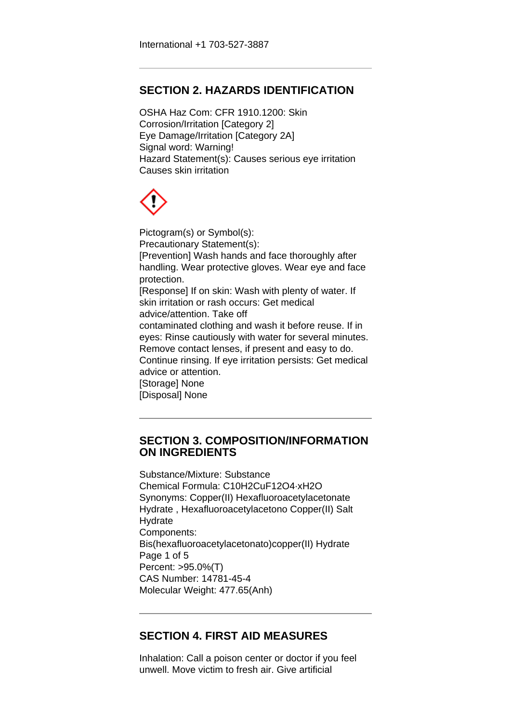# **SECTION 2. HAZARDS IDENTIFICATION**

OSHA Haz Com: CFR 1910.1200: Skin Corrosion/Irritation [Category 2] Eye Damage/Irritation [Category 2A] Signal word: Warning! Hazard Statement(s): Causes serious eye irritation Causes skin irritation

Pictogram(s) or Symbol(s): Precautionary Statement(s): [Prevention] Wash hands and face thoroughly after handling. Wear protective gloves. Wear eye and face protection. [Response] If on skin: Wash with plenty of water. If skin irritation or rash occurs: Get medical advice/attention. Take off contaminated clothing and wash it before reuse. If in eyes: Rinse cautiously with water for several minutes. Remove contact lenses, if present and easy to do. Continue rinsing. If eye irritation persists: Get medical advice or attention. [Storage] None [Disposal] None

#### **SECTION 3. COMPOSITION/INFORMATION ON INGREDIENTS**

Substance/Mixture: Substance Chemical Formula: C10H2CuF12O4·xH2O Synonyms: Copper(II) Hexafluoroacetylacetonate Hydrate , Hexafluoroacetylacetono Copper(II) Salt **Hydrate** Components: Bis(hexafluoroacetylacetonato)copper(II) Hydrate Page 1 of 5 Percent: >95.0%(T) CAS Number: 14781-45-4 Molecular Weight: 477.65(Anh)

# **SECTION 4. FIRST AID MEASURES**

Inhalation: Call a poison center or doctor if you feel unwell. Move victim to fresh air. Give artificial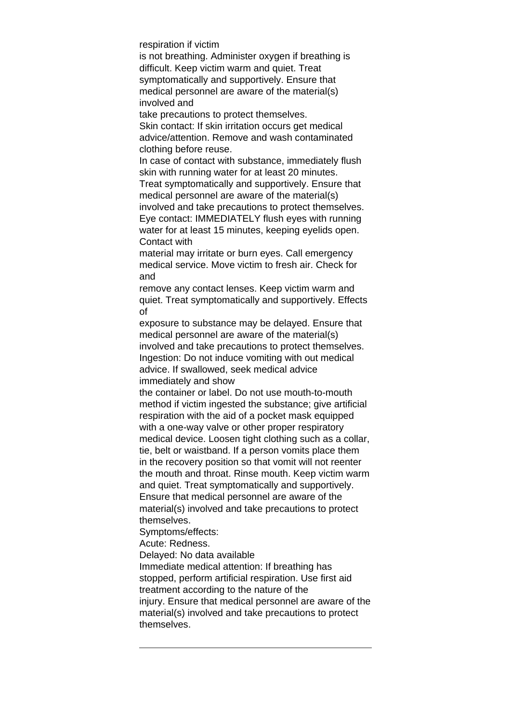respiration if victim

is not breathing. Administer oxygen if breathing is difficult. Keep victim warm and quiet. Treat symptomatically and supportively. Ensure that medical personnel are aware of the material(s) involved and

take precautions to protect themselves. Skin contact: If skin irritation occurs get medical advice/attention. Remove and wash contaminated clothing before reuse.

In case of contact with substance, immediately flush skin with running water for at least 20 minutes.

Treat symptomatically and supportively. Ensure that medical personnel are aware of the material(s) involved and take precautions to protect themselves. Eye contact: IMMEDIATELY flush eyes with running water for at least 15 minutes, keeping eyelids open. Contact with

material may irritate or burn eyes. Call emergency medical service. Move victim to fresh air. Check for and

remove any contact lenses. Keep victim warm and quiet. Treat symptomatically and supportively. Effects of

exposure to substance may be delayed. Ensure that medical personnel are aware of the material(s) involved and take precautions to protect themselves. Ingestion: Do not induce vomiting with out medical advice. If swallowed, seek medical advice immediately and show

the container or label. Do not use mouth-to-mouth method if victim ingested the substance; give artificial respiration with the aid of a pocket mask equipped with a one-way valve or other proper respiratory medical device. Loosen tight clothing such as a collar, tie, belt or waistband. If a person vomits place them in the recovery position so that vomit will not reenter the mouth and throat. Rinse mouth. Keep victim warm and quiet. Treat symptomatically and supportively. Ensure that medical personnel are aware of the material(s) involved and take precautions to protect themselves.

Symptoms/effects:

Acute: Redness.

Delayed: No data available

Immediate medical attention: If breathing has stopped, perform artificial respiration. Use first aid treatment according to the nature of the injury. Ensure that medical personnel are aware of the material(s) involved and take precautions to protect themselves.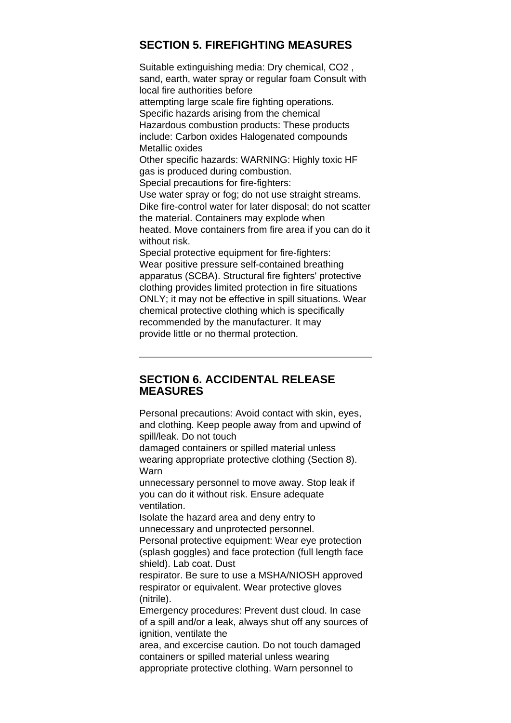# **SECTION 5. FIREFIGHTING MEASURES**

Suitable extinguishing media: Dry chemical, CO2 , sand, earth, water spray or regular foam Consult with local fire authorities before attempting large scale fire fighting operations. Specific hazards arising from the chemical Hazardous combustion products: These products include: Carbon oxides Halogenated compounds Metallic oxides Other specific hazards: WARNING: Highly toxic HF gas is produced during combustion. Special precautions for fire-fighters:

Use water spray or fog; do not use straight streams. Dike fire-control water for later disposal; do not scatter the material. Containers may explode when heated. Move containers from fire area if you can do it without risk.

Special protective equipment for fire-fighters: Wear positive pressure self-contained breathing apparatus (SCBA). Structural fire fighters' protective clothing provides limited protection in fire situations ONLY; it may not be effective in spill situations. Wear chemical protective clothing which is specifically recommended by the manufacturer. It may provide little or no thermal protection.

#### **SECTION 6. ACCIDENTAL RELEASE MEASURES**

Personal precautions: Avoid contact with skin, eyes, and clothing. Keep people away from and upwind of spill/leak. Do not touch

damaged containers or spilled material unless wearing appropriate protective clothing (Section 8). Warn

unnecessary personnel to move away. Stop leak if you can do it without risk. Ensure adequate ventilation.

Isolate the hazard area and deny entry to unnecessary and unprotected personnel. Personal protective equipment: Wear eye protection

(splash goggles) and face protection (full length face shield). Lab coat. Dust

respirator. Be sure to use a MSHA/NIOSH approved respirator or equivalent. Wear protective gloves (nitrile).

Emergency procedures: Prevent dust cloud. In case of a spill and/or a leak, always shut off any sources of ignition, ventilate the

area, and excercise caution. Do not touch damaged containers or spilled material unless wearing appropriate protective clothing. Warn personnel to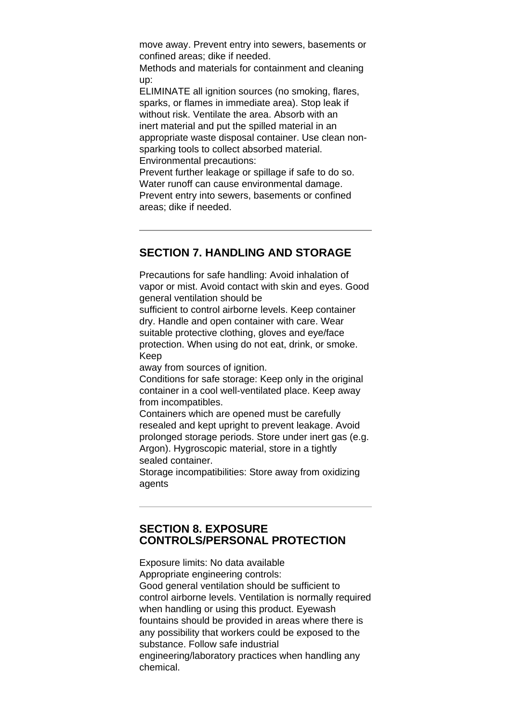move away. Prevent entry into sewers, basements or confined areas; dike if needed.

Methods and materials for containment and cleaning up:

ELIMINATE all ignition sources (no smoking, flares, sparks, or flames in immediate area). Stop leak if without risk. Ventilate the area. Absorb with an inert material and put the spilled material in an appropriate waste disposal container. Use clean nonsparking tools to collect absorbed material. Environmental precautions:

Prevent further leakage or spillage if safe to do so. Water runoff can cause environmental damage. Prevent entry into sewers, basements or confined areas; dike if needed.

# **SECTION 7. HANDLING AND STORAGE**

Precautions for safe handling: Avoid inhalation of vapor or mist. Avoid contact with skin and eyes. Good general ventilation should be

sufficient to control airborne levels. Keep container dry. Handle and open container with care. Wear suitable protective clothing, gloves and eye/face protection. When using do not eat, drink, or smoke. Keep

away from sources of ignition.

Conditions for safe storage: Keep only in the original container in a cool well-ventilated place. Keep away from incompatibles.

Containers which are opened must be carefully resealed and kept upright to prevent leakage. Avoid prolonged storage periods. Store under inert gas (e.g. Argon). Hygroscopic material, store in a tightly sealed container.

Storage incompatibilities: Store away from oxidizing agents

### **SECTION 8. EXPOSURE CONTROLS/PERSONAL PROTECTION**

Exposure limits: No data available Appropriate engineering controls: Good general ventilation should be sufficient to control airborne levels. Ventilation is normally required when handling or using this product. Eyewash fountains should be provided in areas where there is any possibility that workers could be exposed to the substance. Follow safe industrial engineering/laboratory practices when handling any chemical.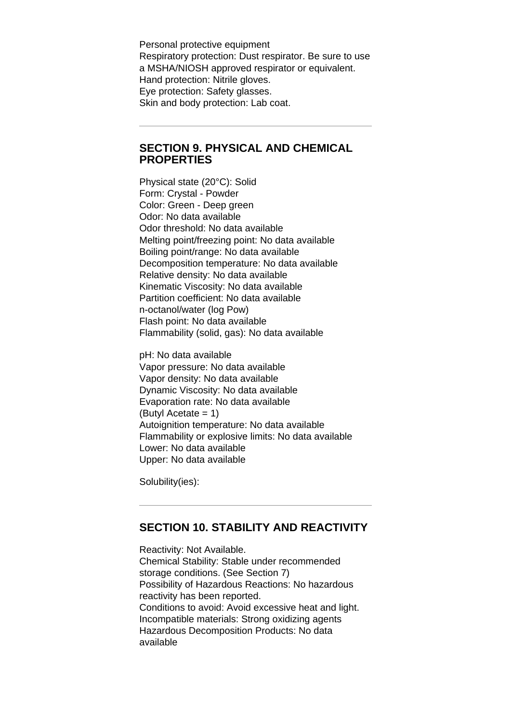Personal protective equipment Respiratory protection: Dust respirator. Be sure to use a MSHA/NIOSH approved respirator or equivalent. Hand protection: Nitrile gloves. Eye protection: Safety glasses. Skin and body protection: Lab coat.

#### **SECTION 9. PHYSICAL AND CHEMICAL PROPERTIES**

Physical state (20°C): Solid Form: Crystal - Powder Color: Green - Deep green Odor: No data available Odor threshold: No data available Melting point/freezing point: No data available Boiling point/range: No data available Decomposition temperature: No data available Relative density: No data available Kinematic Viscosity: No data available Partition coefficient: No data available n-octanol/water (log Pow) Flash point: No data available Flammability (solid, gas): No data available

pH: No data available Vapor pressure: No data available Vapor density: No data available Dynamic Viscosity: No data available Evaporation rate: No data available (Butyl Acetate  $= 1$ ) Autoignition temperature: No data available Flammability or explosive limits: No data available Lower: No data available Upper: No data available

Solubility(ies):

#### **SECTION 10. STABILITY AND REACTIVITY**

Reactivity: Not Available. Chemical Stability: Stable under recommended storage conditions. (See Section 7) Possibility of Hazardous Reactions: No hazardous reactivity has been reported. Conditions to avoid: Avoid excessive heat and light. Incompatible materials: Strong oxidizing agents Hazardous Decomposition Products: No data available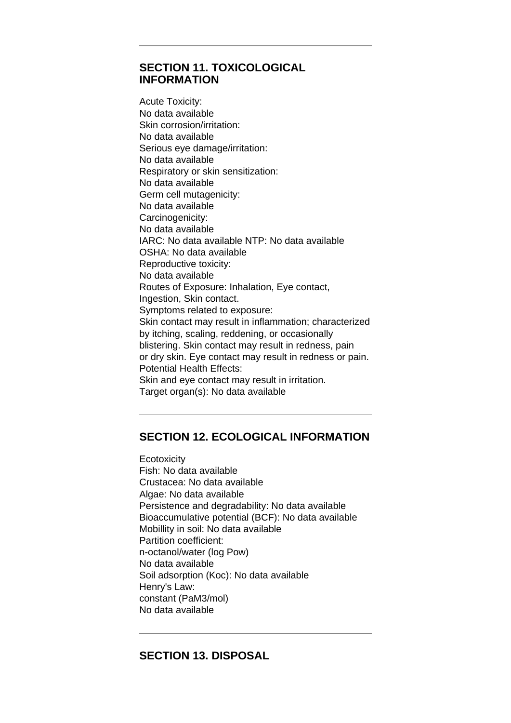### **SECTION 11. TOXICOLOGICAL INFORMATION**

Acute Toxicity: No data available Skin corrosion/irritation: No data available Serious eye damage/irritation: No data available Respiratory or skin sensitization: No data available Germ cell mutagenicity: No data available Carcinogenicity: No data available IARC: No data available NTP: No data available OSHA: No data available Reproductive toxicity: No data available Routes of Exposure: Inhalation, Eye contact, Ingestion, Skin contact. Symptoms related to exposure: Skin contact may result in inflammation; characterized by itching, scaling, reddening, or occasionally blistering. Skin contact may result in redness, pain or dry skin. Eye contact may result in redness or pain. Potential Health Effects: Skin and eye contact may result in irritation. Target organ(s): No data available

# **SECTION 12. ECOLOGICAL INFORMATION**

**Ecotoxicity** Fish: No data available Crustacea: No data available Algae: No data available Persistence and degradability: No data available Bioaccumulative potential (BCF): No data available Mobillity in soil: No data available Partition coefficient: n-octanol/water (log Pow) No data available Soil adsorption (Koc): No data available Henry's Law: constant (PaM3/mol) No data available

# **SECTION 13. DISPOSAL**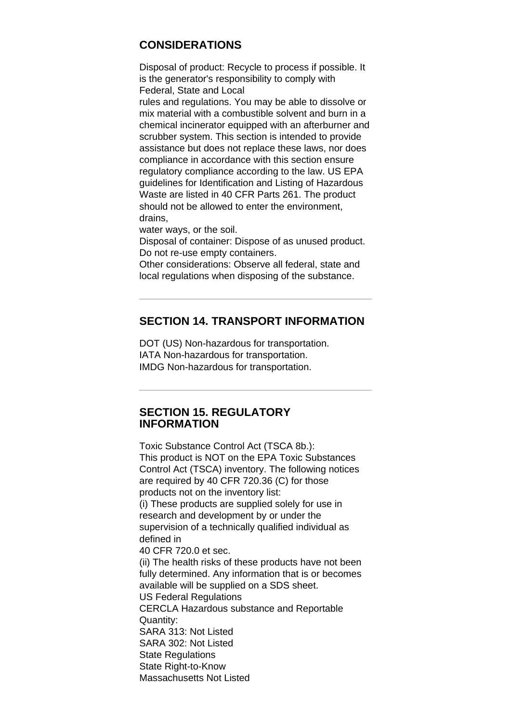# **CONSIDERATIONS**

Disposal of product: Recycle to process if possible. It is the generator's responsibility to comply with Federal, State and Local

rules and regulations. You may be able to dissolve or mix material with a combustible solvent and burn in a chemical incinerator equipped with an afterburner and scrubber system. This section is intended to provide assistance but does not replace these laws, nor does compliance in accordance with this section ensure regulatory compliance according to the law. US EPA guidelines for Identification and Listing of Hazardous Waste are listed in 40 CFR Parts 261. The product should not be allowed to enter the environment, drains,

water ways, or the soil.

Disposal of container: Dispose of as unused product. Do not re-use empty containers.

Other considerations: Observe all federal, state and local regulations when disposing of the substance.

#### **SECTION 14. TRANSPORT INFORMATION**

DOT (US) Non-hazardous for transportation. IATA Non-hazardous for transportation. IMDG Non-hazardous for transportation.

#### **SECTION 15. REGULATORY INFORMATION**

Toxic Substance Control Act (TSCA 8b.): This product is NOT on the EPA Toxic Substances Control Act (TSCA) inventory. The following notices are required by 40 CFR 720.36 (C) for those products not on the inventory list: (i) These products are supplied solely for use in research and development by or under the supervision of a technically qualified individual as defined in 40 CFR 720.0 et sec. (ii) The health risks of these products have not been fully determined. Any information that is or becomes available will be supplied on a SDS sheet. US Federal Regulations CERCLA Hazardous substance and Reportable Quantity: SARA 313: Not Listed SARA 302: Not Listed **State Regulations** State Right-to-Know Massachusetts Not Listed